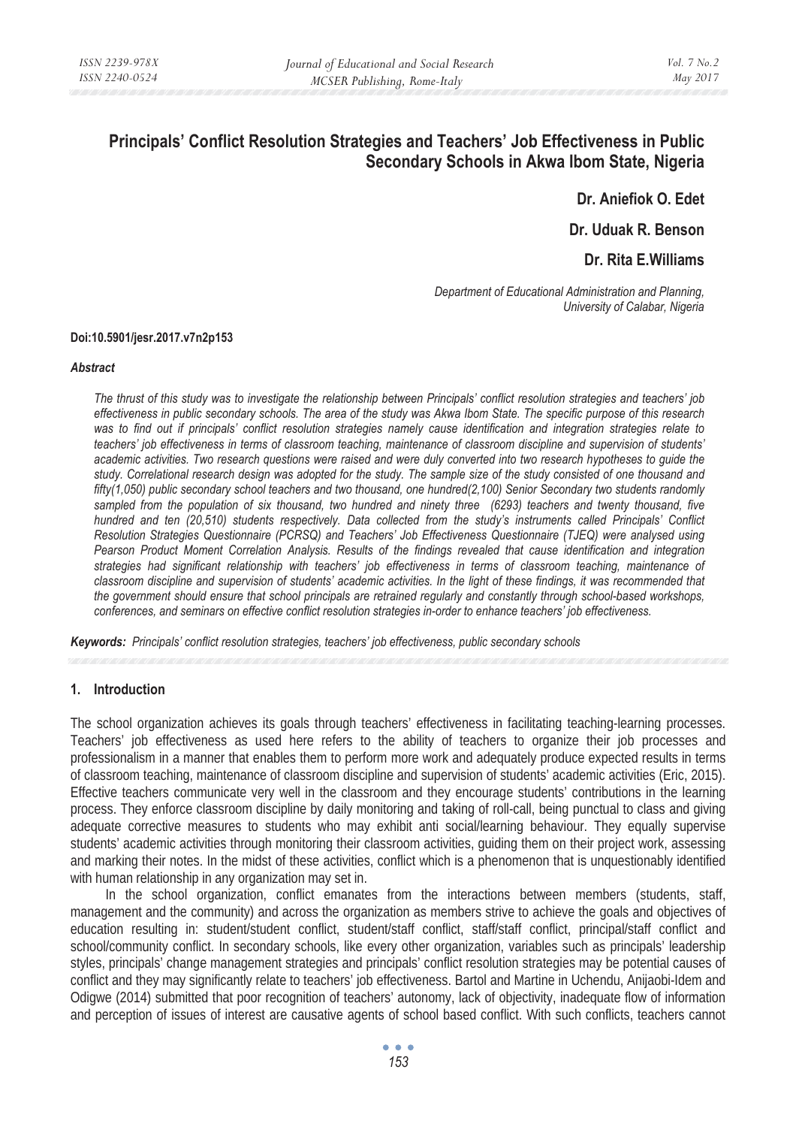# **Principals' Conflict Resolution Strategies and Teachers' Job Effectiveness in Public Secondary Schools in Akwa Ibom State, Nigeria**

**Dr. Aniefiok O. Edet** 

**Dr. Uduak R. Benson** 

**Dr. Rita E.Williams** 

*Department of Educational Administration and Planning, University of Calabar, Nigeria* 

#### **Doi:10.5901/jesr.2017.v7n2p153**

#### *Abstract*

*The thrust of this study was to investigate the relationship between Principals' conflict resolution strategies and teachers' job effectiveness in public secondary schools. The area of the study was Akwa Ibom State. The specific purpose of this research was to find out if principals' conflict resolution strategies namely cause identification and integration strategies relate to teachers' job effectiveness in terms of classroom teaching, maintenance of classroom discipline and supervision of students' academic activities. Two research questions were raised and were duly converted into two research hypotheses to guide the study. Correlational research design was adopted for the study. The sample size of the study consisted of one thousand and fifty(1,050) public secondary school teachers and two thousand, one hundred(2,100) Senior Secondary two students randomly*  sampled from the population of six thousand, two hundred and ninety three (6293) teachers and twenty thousand, five *hundred and ten (20,510) students respectively. Data collected from the study's instruments called Principals' Conflict Resolution Strategies Questionnaire (PCRSQ) and Teachers' Job Effectiveness Questionnaire (TJEQ) were analysed using*  Pearson Product Moment Correlation Analysis. Results of the findings revealed that cause identification and integration *strategies had significant relationship with teachers' job effectiveness in terms of classroom teaching, maintenance of classroom discipline and supervision of students' academic activities. In the light of these findings, it was recommended that the government should ensure that school principals are retrained regularly and constantly through school-based workshops, conferences, and seminars on effective conflict resolution strategies in-order to enhance teachers' job effectiveness.* 

*Keywords: Principals' conflict resolution strategies, teachers' job effectiveness, public secondary schools* 

#### **1. Introduction**

The school organization achieves its goals through teachers' effectiveness in facilitating teaching-learning processes. Teachers' job effectiveness as used here refers to the ability of teachers to organize their job processes and professionalism in a manner that enables them to perform more work and adequately produce expected results in terms of classroom teaching, maintenance of classroom discipline and supervision of students' academic activities (Eric, 2015). Effective teachers communicate very well in the classroom and they encourage students' contributions in the learning process. They enforce classroom discipline by daily monitoring and taking of roll-call, being punctual to class and giving adequate corrective measures to students who may exhibit anti social/learning behaviour. They equally supervise students' academic activities through monitoring their classroom activities, guiding them on their project work, assessing and marking their notes. In the midst of these activities, conflict which is a phenomenon that is unquestionably identified with human relationship in any organization may set in.

In the school organization, conflict emanates from the interactions between members (students, staff, management and the community) and across the organization as members strive to achieve the goals and objectives of education resulting in: student/student conflict, student/staff conflict, staff/staff conflict, principal/staff conflict and school/community conflict. In secondary schools, like every other organization, variables such as principals' leadership styles, principals' change management strategies and principals' conflict resolution strategies may be potential causes of conflict and they may significantly relate to teachers' job effectiveness. Bartol and Martine in Uchendu, Anijaobi-Idem and Odigwe (2014) submitted that poor recognition of teachers' autonomy, lack of objectivity, inadequate flow of information and perception of issues of interest are causative agents of school based conflict. With such conflicts, teachers cannot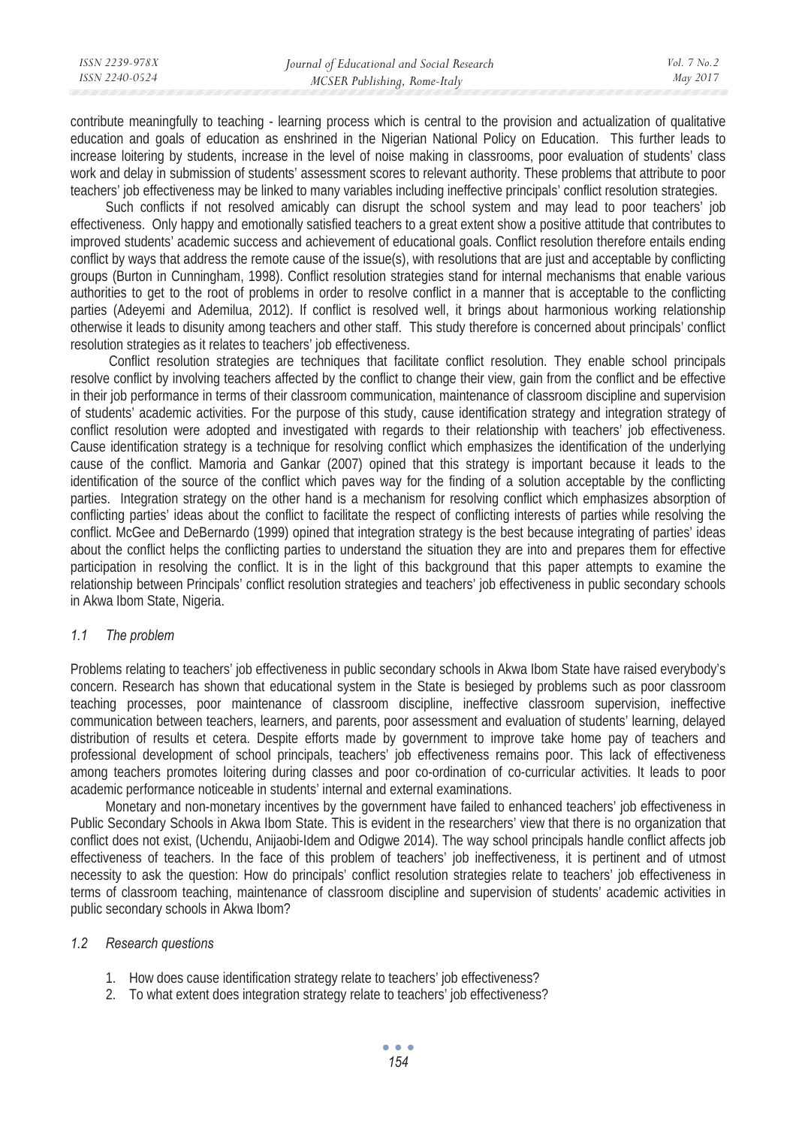| ISSN 2239-978X | Journal of Educational and Social Research | Vol. 7 No. 2 |
|----------------|--------------------------------------------|--------------|
| ISSN 2240-0524 | MCSER Publishing, Rome-Italy               | May 2017     |
|                |                                            |              |

contribute meaningfully to teaching - learning process which is central to the provision and actualization of qualitative education and goals of education as enshrined in the Nigerian National Policy on Education. This further leads to increase loitering by students, increase in the level of noise making in classrooms, poor evaluation of students' class work and delay in submission of students' assessment scores to relevant authority. These problems that attribute to poor teachers' job effectiveness may be linked to many variables including ineffective principals' conflict resolution strategies.

Such conflicts if not resolved amicably can disrupt the school system and may lead to poor teachers' job effectiveness. Only happy and emotionally satisfied teachers to a great extent show a positive attitude that contributes to improved students' academic success and achievement of educational goals. Conflict resolution therefore entails ending conflict by ways that address the remote cause of the issue(s), with resolutions that are just and acceptable by conflicting groups (Burton in Cunningham, 1998). Conflict resolution strategies stand for internal mechanisms that enable various authorities to get to the root of problems in order to resolve conflict in a manner that is acceptable to the conflicting parties (Adeyemi and Ademilua, 2012). If conflict is resolved well, it brings about harmonious working relationship otherwise it leads to disunity among teachers and other staff. This study therefore is concerned about principals' conflict resolution strategies as it relates to teachers' job effectiveness.

 Conflict resolution strategies are techniques that facilitate conflict resolution. They enable school principals resolve conflict by involving teachers affected by the conflict to change their view, gain from the conflict and be effective in their job performance in terms of their classroom communication, maintenance of classroom discipline and supervision of students' academic activities. For the purpose of this study, cause identification strategy and integration strategy of conflict resolution were adopted and investigated with regards to their relationship with teachers' job effectiveness. Cause identification strategy is a technique for resolving conflict which emphasizes the identification of the underlying cause of the conflict. Mamoria and Gankar (2007) opined that this strategy is important because it leads to the identification of the source of the conflict which paves way for the finding of a solution acceptable by the conflicting parties. Integration strategy on the other hand is a mechanism for resolving conflict which emphasizes absorption of conflicting parties' ideas about the conflict to facilitate the respect of conflicting interests of parties while resolving the conflict. McGee and DeBernardo (1999) opined that integration strategy is the best because integrating of parties' ideas about the conflict helps the conflicting parties to understand the situation they are into and prepares them for effective participation in resolving the conflict. It is in the light of this background that this paper attempts to examine the relationship between Principals' conflict resolution strategies and teachers' job effectiveness in public secondary schools in Akwa Ibom State, Nigeria.

#### *1.1 The problem*

Problems relating to teachers' job effectiveness in public secondary schools in Akwa Ibom State have raised everybody's concern. Research has shown that educational system in the State is besieged by problems such as poor classroom teaching processes, poor maintenance of classroom discipline, ineffective classroom supervision, ineffective communication between teachers, learners, and parents, poor assessment and evaluation of students' learning, delayed distribution of results et cetera. Despite efforts made by government to improve take home pay of teachers and professional development of school principals, teachers' job effectiveness remains poor. This lack of effectiveness among teachers promotes loitering during classes and poor co-ordination of co-curricular activities. It leads to poor academic performance noticeable in students' internal and external examinations.

Monetary and non-monetary incentives by the government have failed to enhanced teachers' job effectiveness in Public Secondary Schools in Akwa Ibom State. This is evident in the researchers' view that there is no organization that conflict does not exist, (Uchendu, Anijaobi-Idem and Odigwe 2014). The way school principals handle conflict affects job effectiveness of teachers. In the face of this problem of teachers' job ineffectiveness, it is pertinent and of utmost necessity to ask the question: How do principals' conflict resolution strategies relate to teachers' job effectiveness in terms of classroom teaching, maintenance of classroom discipline and supervision of students' academic activities in public secondary schools in Akwa Ibom?

#### *1.2 Research questions*

- 1. How does cause identification strategy relate to teachers' job effectiveness?
- 2. To what extent does integration strategy relate to teachers' job effectiveness?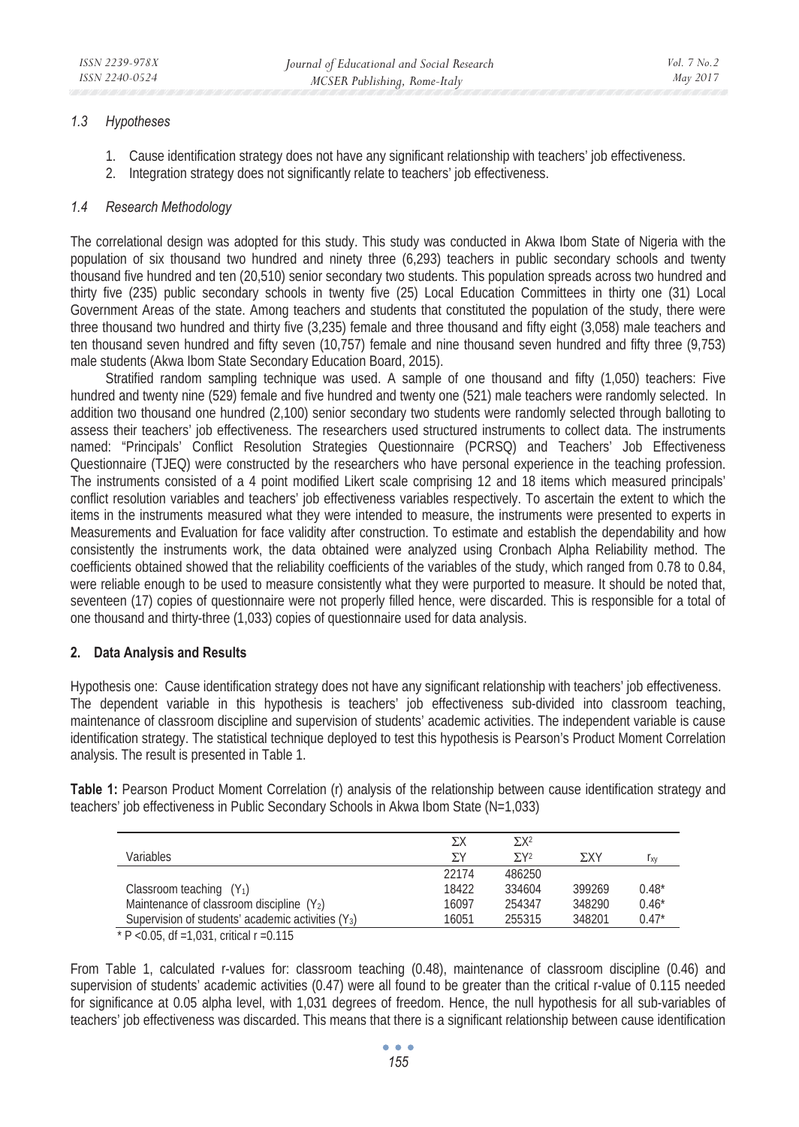## *1.3 Hypotheses*

- 1. Cause identification strategy does not have any significant relationship with teachers' job effectiveness.
- 2. Integration strategy does not significantly relate to teachers' job effectiveness.

# *1.4 Research Methodology*

The correlational design was adopted for this study. This study was conducted in Akwa Ibom State of Nigeria with the population of six thousand two hundred and ninety three (6,293) teachers in public secondary schools and twenty thousand five hundred and ten (20,510) senior secondary two students. This population spreads across two hundred and thirty five (235) public secondary schools in twenty five (25) Local Education Committees in thirty one (31) Local Government Areas of the state. Among teachers and students that constituted the population of the study, there were three thousand two hundred and thirty five (3,235) female and three thousand and fifty eight (3,058) male teachers and ten thousand seven hundred and fifty seven (10,757) female and nine thousand seven hundred and fifty three (9,753) male students (Akwa Ibom State Secondary Education Board, 2015).

Stratified random sampling technique was used. A sample of one thousand and fifty (1,050) teachers: Five hundred and twenty nine (529) female and five hundred and twenty one (521) male teachers were randomly selected. In addition two thousand one hundred (2,100) senior secondary two students were randomly selected through balloting to assess their teachers' job effectiveness. The researchers used structured instruments to collect data. The instruments named: "Principals' Conflict Resolution Strategies Questionnaire (PCRSQ) and Teachers' Job Effectiveness Questionnaire (TJEQ) were constructed by the researchers who have personal experience in the teaching profession. The instruments consisted of a 4 point modified Likert scale comprising 12 and 18 items which measured principals' conflict resolution variables and teachers' job effectiveness variables respectively. To ascertain the extent to which the items in the instruments measured what they were intended to measure, the instruments were presented to experts in Measurements and Evaluation for face validity after construction. To estimate and establish the dependability and how consistently the instruments work, the data obtained were analyzed using Cronbach Alpha Reliability method. The coefficients obtained showed that the reliability coefficients of the variables of the study, which ranged from 0.78 to 0.84, were reliable enough to be used to measure consistently what they were purported to measure. It should be noted that, seventeen (17) copies of questionnaire were not properly filled hence, were discarded. This is responsible for a total of one thousand and thirty-three (1,033) copies of questionnaire used for data analysis.

## **2. Data Analysis and Results**

Hypothesis one: Cause identification strategy does not have any significant relationship with teachers' job effectiveness. The dependent variable in this hypothesis is teachers' job effectiveness sub-divided into classroom teaching, maintenance of classroom discipline and supervision of students' academic activities. The independent variable is cause identification strategy. The statistical technique deployed to test this hypothesis is Pearson's Product Moment Correlation analysis. The result is presented in Table 1.

**Table 1:** Pearson Product Moment Correlation (r) analysis of the relationship between cause identification strategy and teachers' job effectiveness in Public Secondary Schools in Akwa Ibom State (N=1,033)

|                                                      | ΣX    | $\Sigma X^2$            |        |         |
|------------------------------------------------------|-------|-------------------------|--------|---------|
| Variables                                            | ΣY    | $\Sigma$ Y <sub>2</sub> | ΣXΥ    | l xv    |
|                                                      | 22174 | 486250                  |        |         |
| Classroom teaching $(Y_1)$                           | 18422 | 334604                  | 399269 | $0.48*$ |
| Maintenance of classroom discipline $(Y_2)$          | 16097 | 254347                  | 348290 | $0.46*$ |
| Supervision of students' academic activities $(Y_3)$ | 16051 | 255315                  | 348201 | $0.47*$ |
| * P < 0.05. df = 1.031. critical $r = 0.115$         |       |                         |        |         |

From Table 1, calculated r-values for: classroom teaching (0.48), maintenance of classroom discipline (0.46) and supervision of students' academic activities (0.47) were all found to be greater than the critical r-value of 0.115 needed for significance at 0.05 alpha level, with 1,031 degrees of freedom. Hence, the null hypothesis for all sub-variables of teachers' job effectiveness was discarded. This means that there is a significant relationship between cause identification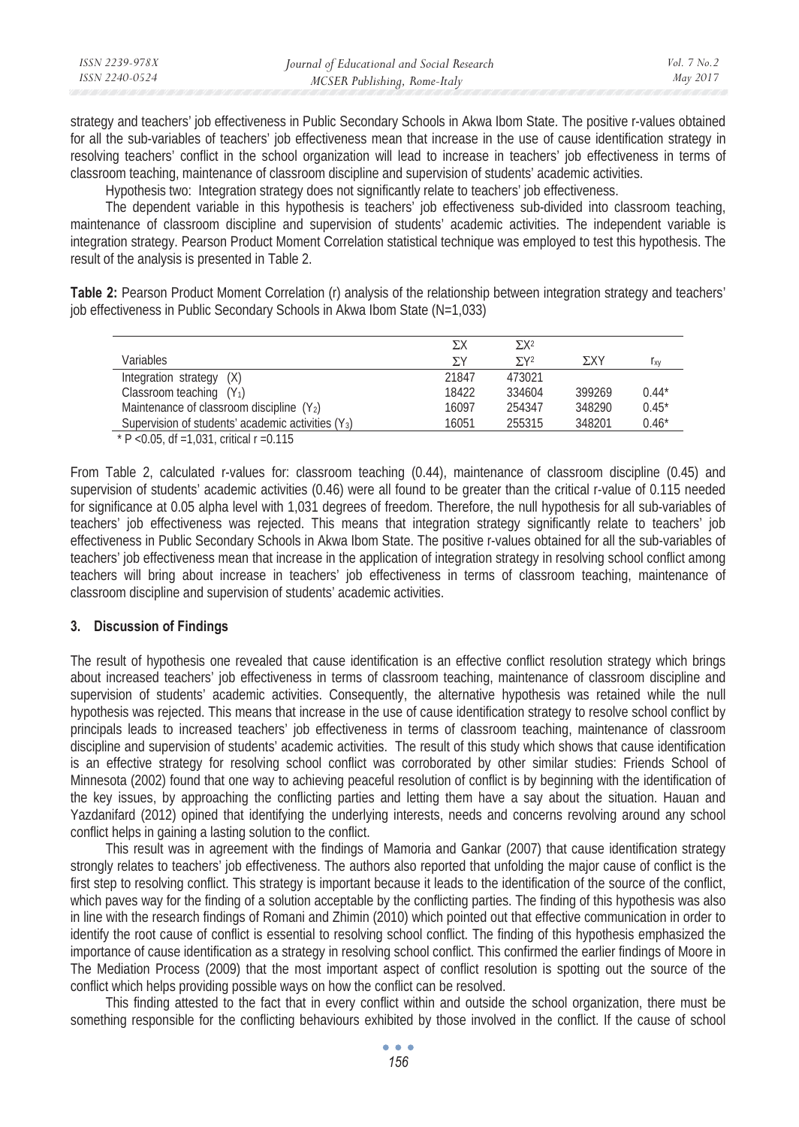strategy and teachers' job effectiveness in Public Secondary Schools in Akwa Ibom State. The positive r-values obtained for all the sub-variables of teachers' job effectiveness mean that increase in the use of cause identification strategy in resolving teachers' conflict in the school organization will lead to increase in teachers' job effectiveness in terms of classroom teaching, maintenance of classroom discipline and supervision of students' academic activities.

Hypothesis two: Integration strategy does not significantly relate to teachers' job effectiveness.

The dependent variable in this hypothesis is teachers' job effectiveness sub-divided into classroom teaching, maintenance of classroom discipline and supervision of students' academic activities. The independent variable is integration strategy. Pearson Product Moment Correlation statistical technique was employed to test this hypothesis. The result of the analysis is presented in Table 2.

**Table 2:** Pearson Product Moment Correlation (r) analysis of the relationship between integration strategy and teachers' job effectiveness in Public Secondary Schools in Akwa Ibom State (N=1,033)

|                                                                | ΣX    | $\Sigma X^2$            |        |                 |
|----------------------------------------------------------------|-------|-------------------------|--------|-----------------|
| Variables                                                      | ΣY    | $\Sigma$ Y <sub>2</sub> | ΣXΥ    | 1 <sub>XV</sub> |
| Integration strategy (X)                                       | 21847 | 473021                  |        |                 |
| Classroom teaching $(Y_1)$                                     | 18422 | 334604                  | 399269 | $0.44*$         |
| Maintenance of classroom discipline $(Y_2)$                    | 16097 | 254347                  | 348290 | $0.45*$         |
| Supervision of students' academic activities (Y <sub>3</sub> ) | 16051 | 255315                  | 348201 | $0.46*$         |
| $*D$ , $\bigcap$ $R$ af 1.021 critical r 0.115                 |       |                         |        |                 |

 $P$  <0.05, df =1,031, critical r =0.115

From Table 2, calculated r-values for: classroom teaching (0.44), maintenance of classroom discipline (0.45) and supervision of students' academic activities (0.46) were all found to be greater than the critical r-value of 0.115 needed for significance at 0.05 alpha level with 1,031 degrees of freedom. Therefore, the null hypothesis for all sub-variables of teachers' job effectiveness was rejected. This means that integration strategy significantly relate to teachers' job effectiveness in Public Secondary Schools in Akwa Ibom State. The positive r-values obtained for all the sub-variables of teachers' job effectiveness mean that increase in the application of integration strategy in resolving school conflict among teachers will bring about increase in teachers' job effectiveness in terms of classroom teaching, maintenance of classroom discipline and supervision of students' academic activities.

#### **3. Discussion of Findings**

The result of hypothesis one revealed that cause identification is an effective conflict resolution strategy which brings about increased teachers' job effectiveness in terms of classroom teaching, maintenance of classroom discipline and supervision of students' academic activities. Consequently, the alternative hypothesis was retained while the null hypothesis was rejected. This means that increase in the use of cause identification strategy to resolve school conflict by principals leads to increased teachers' job effectiveness in terms of classroom teaching, maintenance of classroom discipline and supervision of students' academic activities. The result of this study which shows that cause identification is an effective strategy for resolving school conflict was corroborated by other similar studies: Friends School of Minnesota (2002) found that one way to achieving peaceful resolution of conflict is by beginning with the identification of the key issues, by approaching the conflicting parties and letting them have a say about the situation. Hauan and Yazdanifard (2012) opined that identifying the underlying interests, needs and concerns revolving around any school conflict helps in gaining a lasting solution to the conflict.

This result was in agreement with the findings of Mamoria and Gankar (2007) that cause identification strategy strongly relates to teachers' job effectiveness. The authors also reported that unfolding the major cause of conflict is the first step to resolving conflict. This strategy is important because it leads to the identification of the source of the conflict, which paves way for the finding of a solution acceptable by the conflicting parties. The finding of this hypothesis was also in line with the research findings of Romani and Zhimin (2010) which pointed out that effective communication in order to identify the root cause of conflict is essential to resolving school conflict. The finding of this hypothesis emphasized the importance of cause identification as a strategy in resolving school conflict. This confirmed the earlier findings of Moore in The Mediation Process (2009) that the most important aspect of conflict resolution is spotting out the source of the conflict which helps providing possible ways on how the conflict can be resolved.

This finding attested to the fact that in every conflict within and outside the school organization, there must be something responsible for the conflicting behaviours exhibited by those involved in the conflict. If the cause of school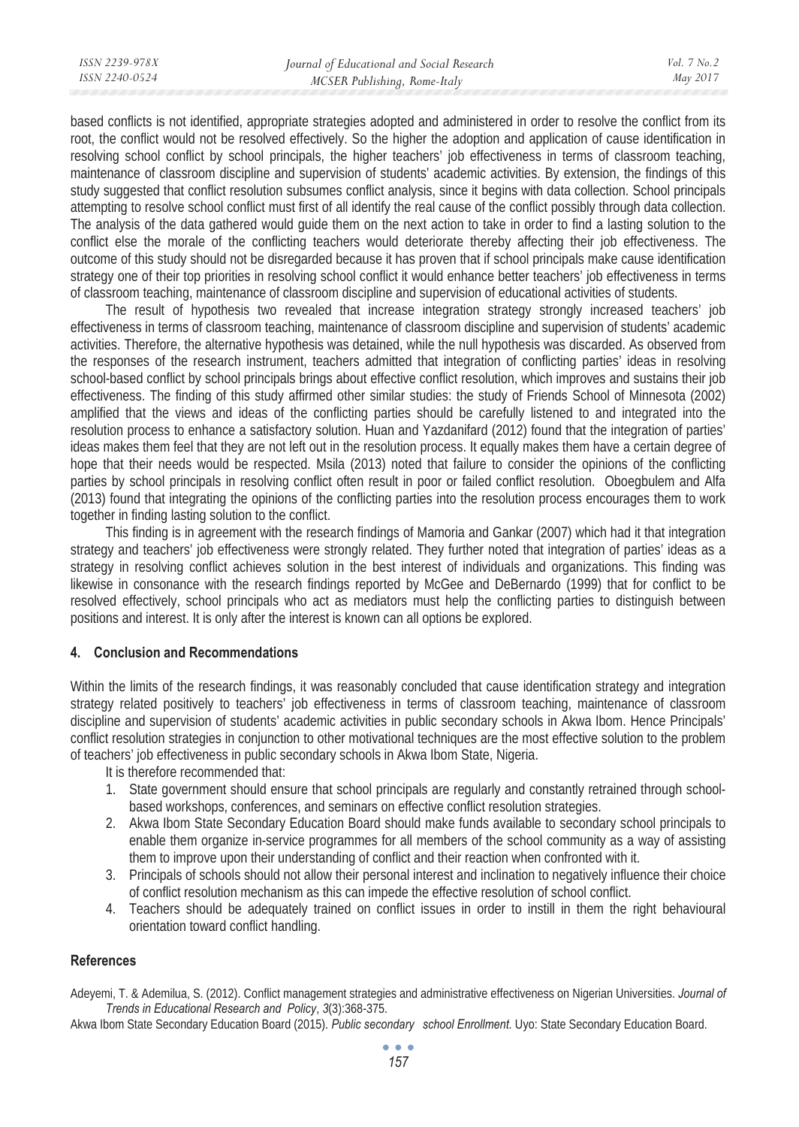based conflicts is not identified, appropriate strategies adopted and administered in order to resolve the conflict from its root, the conflict would not be resolved effectively. So the higher the adoption and application of cause identification in resolving school conflict by school principals, the higher teachers' job effectiveness in terms of classroom teaching, maintenance of classroom discipline and supervision of students' academic activities. By extension, the findings of this study suggested that conflict resolution subsumes conflict analysis, since it begins with data collection. School principals attempting to resolve school conflict must first of all identify the real cause of the conflict possibly through data collection. The analysis of the data gathered would guide them on the next action to take in order to find a lasting solution to the conflict else the morale of the conflicting teachers would deteriorate thereby affecting their job effectiveness. The outcome of this study should not be disregarded because it has proven that if school principals make cause identification strategy one of their top priorities in resolving school conflict it would enhance better teachers' job effectiveness in terms of classroom teaching, maintenance of classroom discipline and supervision of educational activities of students.

The result of hypothesis two revealed that increase integration strategy strongly increased teachers' job effectiveness in terms of classroom teaching, maintenance of classroom discipline and supervision of students' academic activities. Therefore, the alternative hypothesis was detained, while the null hypothesis was discarded. As observed from the responses of the research instrument, teachers admitted that integration of conflicting parties' ideas in resolving school-based conflict by school principals brings about effective conflict resolution, which improves and sustains their job effectiveness. The finding of this study affirmed other similar studies: the study of Friends School of Minnesota (2002) amplified that the views and ideas of the conflicting parties should be carefully listened to and integrated into the resolution process to enhance a satisfactory solution. Huan and Yazdanifard (2012) found that the integration of parties' ideas makes them feel that they are not left out in the resolution process. It equally makes them have a certain degree of hope that their needs would be respected. Msila (2013) noted that failure to consider the opinions of the conflicting parties by school principals in resolving conflict often result in poor or failed conflict resolution. Oboegbulem and Alfa (2013) found that integrating the opinions of the conflicting parties into the resolution process encourages them to work together in finding lasting solution to the conflict.

This finding is in agreement with the research findings of Mamoria and Gankar (2007) which had it that integration strategy and teachers' job effectiveness were strongly related. They further noted that integration of parties' ideas as a strategy in resolving conflict achieves solution in the best interest of individuals and organizations. This finding was likewise in consonance with the research findings reported by McGee and DeBernardo (1999) that for conflict to be resolved effectively, school principals who act as mediators must help the conflicting parties to distinguish between positions and interest. It is only after the interest is known can all options be explored.

# **4. Conclusion and Recommendations**

Within the limits of the research findings, it was reasonably concluded that cause identification strategy and integration strategy related positively to teachers' job effectiveness in terms of classroom teaching, maintenance of classroom discipline and supervision of students' academic activities in public secondary schools in Akwa Ibom. Hence Principals' conflict resolution strategies in conjunction to other motivational techniques are the most effective solution to the problem of teachers' job effectiveness in public secondary schools in Akwa Ibom State, Nigeria.

It is therefore recommended that:

- 1. State government should ensure that school principals are regularly and constantly retrained through schoolbased workshops, conferences, and seminars on effective conflict resolution strategies.
- 2. Akwa Ibom State Secondary Education Board should make funds available to secondary school principals to enable them organize in-service programmes for all members of the school community as a way of assisting them to improve upon their understanding of conflict and their reaction when confronted with it.
- 3. Principals of schools should not allow their personal interest and inclination to negatively influence their choice of conflict resolution mechanism as this can impede the effective resolution of school conflict.
- 4. Teachers should be adequately trained on conflict issues in order to instill in them the right behavioural orientation toward conflict handling.

## **References**

Adeyemi, T. & Ademilua, S. (2012). Conflict management strategies and administrative effectiveness on Nigerian Universities. *Journal of Trends in Educational Research and Policy*, *3*(3):368-375.

Akwa Ibom State Secondary Education Board (2015). *Public secondary school Enrollment.* Uyo: State Secondary Education Board.